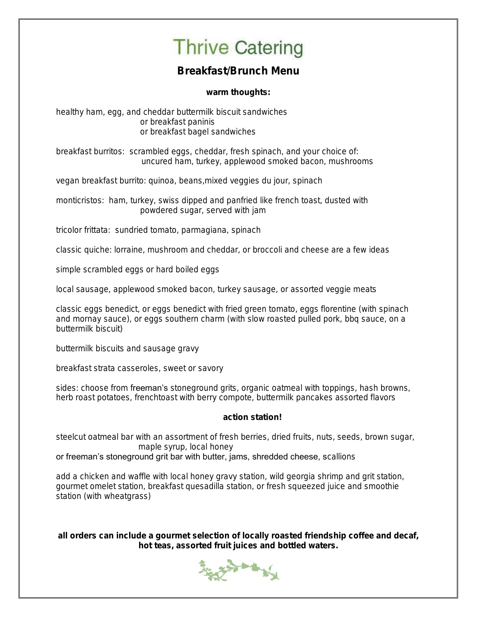## **Thrive Catering**

### Breakfast/Brunch Menu

warm thoughts:

healthy ham, egg, and cheddar buttermilk biscuit sandwiches or breakfast paninis or breakfast bagel sandwiches

breakfast burritos: scrambled eggs, cheddar, fresh spinach, and your choice of: uncured ham, turkey, applewood smoked bacon, mushrooms

vegan breakfast burrito: quinoa, beans,mixed veggies du jour, spinach

monticristos: ham, turkey, swiss dipped and panfried like french toast, dusted with powdered sugar, served with jam

tricolor frittata: sundried tomato, parmagiana, spinach

classic quiche: lorraine, mushroom and cheddar, or broccoli and cheese are a few ideas

simple scrambled eggs or hard boiled eggs

local sausage, applewood smoked bacon, turkey sausage, or assorted veggie meats

classic eggs benedict, or eggs benedict with fried green tomato, eggs florentine (with spinach and mornay sauce), or eggs southern charm (with slow roasted pulled pork, bbq sauce, on a buttermilk biscuit)

buttermilk biscuits and sausage gravy

breakfast strata casseroles, sweet or savory

sides: choose from freeman's stoneground grits, organic oatmeal with toppings, hash browns, herb roast potatoes, frenchtoast with berry compote, buttermilk pancakes assorted flavors

#### action station!

steelcut oatmeal bar with an assortment of fresh berries, dried fruits, nuts, seeds, brown sugar, maple syrup, local honey

or freeman's stoneground grit bar with butter, jams, shredded cheese, scallions

add a chicken and waffle with local honey gravy station, wild georgia shrimp and grit station, gourmet omelet station, breakfast quesadilla station, or fresh squeezed juice and smoothie station (with wheatgrass)

all orders can include a gourmet selection of locally roasted friendship coffee and decaf, hot teas, assorted fruit juices and bottled waters.